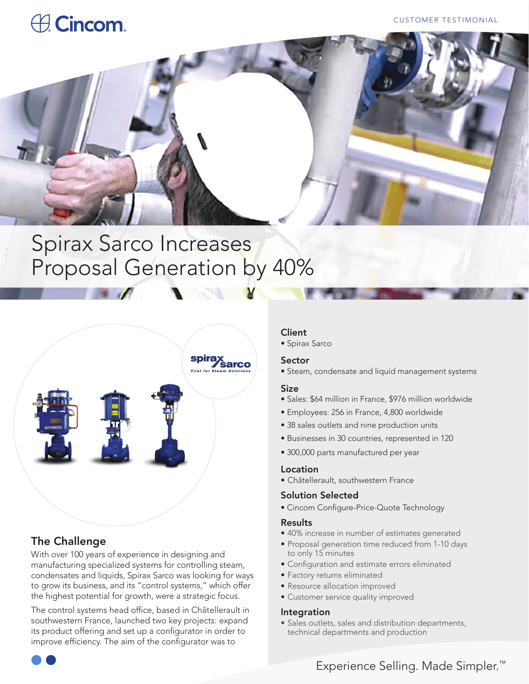# **A** Cincom.

#### CUSTOMER TESTIMONIAL



## Spirax Sarco Increases Proposal Generation by 40%



## The Challenge

With over 100 years of experience in designing and manufacturing specialized systems for controlling steam, condensates and liquids, Spirax Sarco was looking for ways to grow its business, and its "control systems," which offer the highest potential for growth, were a strategic focus.

The control systems head office, based in Châtellerault in southwestern France, launched two key projects: expand its product offering and set up a configurator in order to improve efficiency. The aim of the configurator was to

#### Client

• Spirax Sarco

#### Sector

• Steam, condensate and liquid management systems

#### Size

- Sales: \$64 million in France, \$976 million worldwide
- Employees: 256 in France, 4,800 worldwide
- 38 sales outlets and nine production units
- Businesses in 30 countries, represented in 120
- 300,000 parts manufactured per year

#### Location

• Châtellerault, southwestern France

#### Solution Selected

• Cincom Configure-Price-Quote Technology

#### Results

- 40% increase in number of estimates generated
- Proposal generation time reduced from 1-10 days to only 15 minutes
- Configuration and estimate errors eliminated
- Factory returns eliminated
- Resource allocation improved
- Customer service quality improved

#### Integration

• Sales outlets, sales and distribution departments, technical departments and production